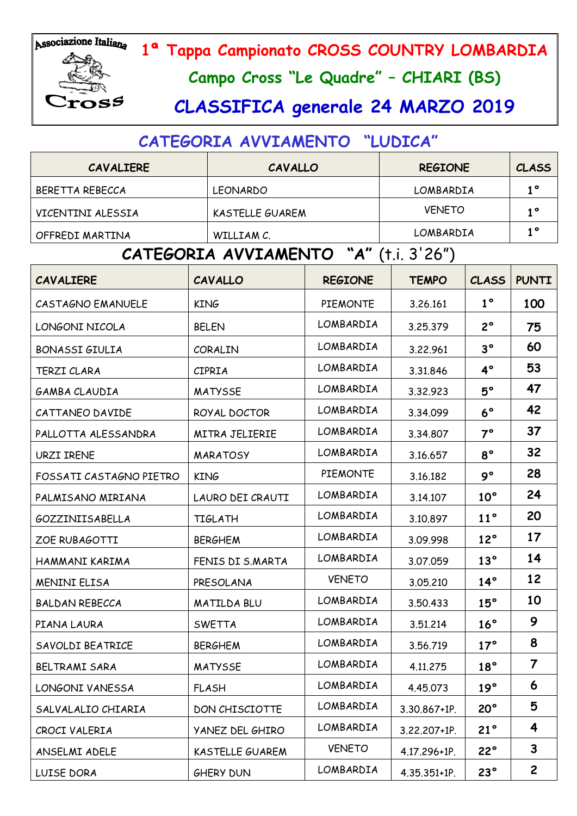

# 89

**1ª Tappa Campionato CROSS COUNTRY LOMBARDIA**

**Campo Cross "Le Quadre" – CHIARI (BS)**

# **CLASSIFICA generale 24 MARZO 2019**

# **CATEGORIA AVVIAMENTO "LUDICA"**

| <b>CAVALIERE</b>        | <b>CAVALLO</b>                        |                 | <b>REGIONE</b> | <b>CLASS</b>   |              |
|-------------------------|---------------------------------------|-----------------|----------------|----------------|--------------|
| BERETTA REBECCA         | <b>LEONARDO</b>                       |                 | LOMBARDIA      | $1^{\circ}$    |              |
| VICENTINI ALESSIA       | <b>KASTELLE GUAREM</b>                |                 | <b>VENETO</b>  | $1^{\circ}$    |              |
| OFFREDI MARTINA         | WILLIAM C.                            |                 | LOMBARDIA      | 1 <sup>°</sup> |              |
|                         | CATEGORIA AVVIAMENTO "A" (t.i. 3'26") |                 |                |                |              |
| <b>CAVALIERE</b>        | <b>CAVALLO</b>                        | <b>REGIONE</b>  | <b>TEMPO</b>   | <b>CLASS</b>   | <b>PUNTI</b> |
| CASTAGNO EMANUELE       | <b>KING</b>                           | <b>PIEMONTE</b> | 3.26.161       | $1^{\circ}$    | 100          |
| LONGONI NICOLA          | <b>BELEN</b>                          | LOMBARDIA       | 3.25.379       | $2^{\circ}$    | 75           |
| <b>BONASSI GIULIA</b>   | CORALIN                               | LOMBARDIA       |                |                | 60           |
| <b>TERZI CLARA</b>      | <b>CIPRIA</b>                         | LOMBARDIA       | 3.31.846       | $4^\circ$      | 53           |
| GAMBA CLAUDIA           | <b>MATYSSE</b>                        | LOMBARDIA       | 3.32.923       | $5^\circ$      | 47           |
| CATTANEO DAVIDE         | ROYAL DOCTOR                          | LOMBARDIA       | 3.34.099       | $6^{\circ}$    | 42           |
| PALLOTTA ALESSANDRA     | <b>MITRA JELIERIE</b>                 | LOMBARDIA       | 3.34.807       | $7^\circ$      | 37           |
| <b>URZI IRENE</b>       | <b>MARATOSY</b>                       | LOMBARDIA       | 3.16.657       | $8^{\circ}$    | 32           |
| FOSSATI CASTAGNO PIETRO | <b>KING</b>                           | <b>PIEMONTE</b> | 3.16.182       | $9^{\circ}$    | 28           |
| PALMISANO MIRIANA       | LAURO DEI CRAUTI                      | LOMBARDIA       | 3.14.107       | $10^{\circ}$   | 24           |
| GOZZINIISABELLA         | <b>TIGLATH</b>                        | LOMBARDIA       | 3.10.897       | $11^{\circ}$   | 20           |
| <b>ZOE RUBAGOTTI</b>    | <b>BERGHEM</b>                        | LOMBARDIA       | 3.09.998       | $12^{\circ}$   | 17           |

HAMMANI KARIMA FENIS DI S.MARTA LOMBARDIA 3.07.059 **13° 14**

MENINI ELISA PRESOLANA VENETO 3.05.210 **14° 12**

BALDAN REBECCA MATILDA BLU LOMBARDIA 3.50.433 **15° 10**

PIANA LAURA SWETTA LOMBARDIA 3.51.214 **16° 9**

SAVOLDI BEATRICE **BERGHEM DOMBARDIA** 3.56.719 **17° 8** 

BELTRAMI SARA MATYSSE 10MBARDIA 4.11.275 **18°** 7

LONGONI VANESSA FLASH LOMBARDIA 4.45.073 **19° 6**

SALVALALIO CHIARIA DON CHISCIOTTE LOMBARDIA 3.30.867+1P. **20° 5**

CROCI VALERIA YANEZ DEL GHIRO LOMBARDIA 3.22.207+1P. **21° 4**

ANSELMI ADELE KASTELLE GUAREM VENETO 4.17.296+1P. **22° 3**

LUISE DORA GHERY DUN LOMBARDIA 4.35.351+1P. **23° 2**